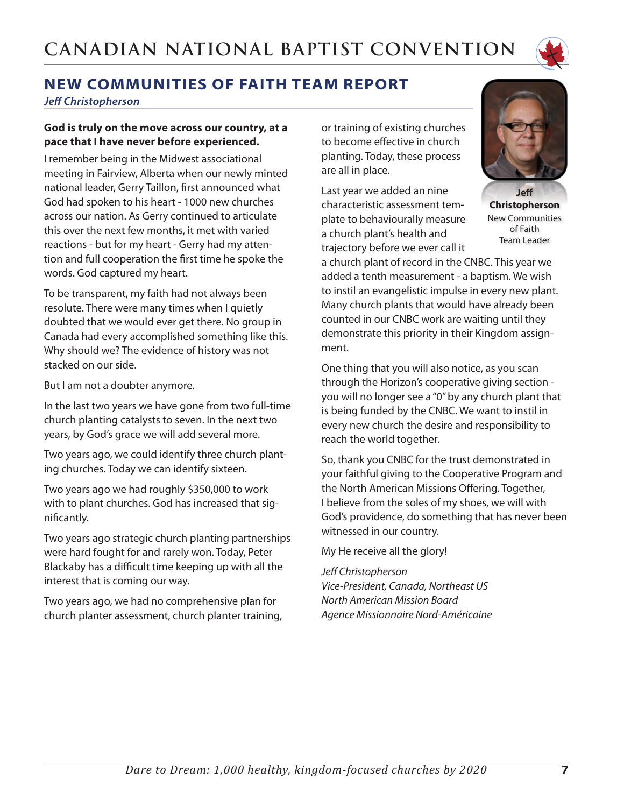

# **NEW COMMUNITIES OF FAITH TEAM REPORT**

*Jeff Christopherson*

#### **God is truly on the move across our country, at a pace that I have never before experienced.**

I remember being in the Midwest associational meeting in Fairview, Alberta when our newly minted national leader, Gerry Taillon, first announced what God had spoken to his heart - 1000 new churches across our nation. As Gerry continued to articulate this over the next few months, it met with varied reactions - but for my heart - Gerry had my attention and full cooperation the first time he spoke the words. God captured my heart.

To be transparent, my faith had not always been resolute. There were many times when I quietly doubted that we would ever get there. No group in Canada had every accomplished something like this. Why should we? The evidence of history was not stacked on our side.

But I am not a doubter anymore.

In the last two years we have gone from two full-time church planting catalysts to seven. In the next two years, by God's grace we will add several more.

Two years ago, we could identify three church planting churches. Today we can identify sixteen.

Two years ago we had roughly \$350,000 to work with to plant churches. God has increased that significantly.

Two years ago strategic church planting partnerships were hard fought for and rarely won. Today, Peter Blackaby has a difficult time keeping up with all the interest that is coming our way.

Two years ago, we had no comprehensive plan for church planter assessment, church planter training, or training of existing churches to become effective in church planting. Today, these process are all in place.

Last year we added an nine characteristic assessment template to behaviourally measure a church plant's health and trajectory before we ever call it



**Jeff Christopherson** New Communities of Faith Team Leader

a church plant of record in the CNBC. This year we added a tenth measurement - a baptism. We wish to instil an evangelistic impulse in every new plant. Many church plants that would have already been counted in our CNBC work are waiting until they demonstrate this priority in their Kingdom assignment.

One thing that you will also notice, as you scan through the Horizon's cooperative giving section you will no longer see a "0" by any church plant that is being funded by the CNBC. We want to instil in every new church the desire and responsibility to reach the world together.

So, thank you CNBC for the trust demonstrated in your faithful giving to the Cooperative Program and the North American Missions Offering. Together, I believe from the soles of my shoes, we will with God's providence, do something that has never been witnessed in our country.

My He receive all the glory!

#### *Jeff Christopherson*

*Vice-President, Canada, Northeast US North American Mission Board Agence Missionnaire Nord-Américaine*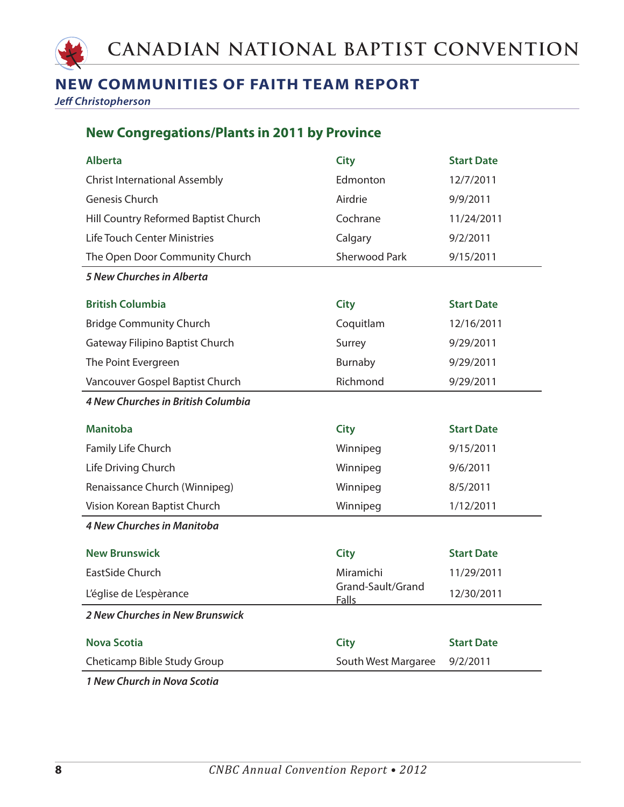

### **NEW COMMUNITIES OF FAITH TEAM REPORT**

*Jeff Christopherson*

#### **New Congregations/Plants in 2011 by Province**

| <b>Alberta</b>                       | <b>City</b>                       | <b>Start Date</b> |
|--------------------------------------|-----------------------------------|-------------------|
| <b>Christ International Assembly</b> | Edmonton                          | 12/7/2011         |
| Genesis Church                       | Airdrie                           | 9/9/2011          |
| Hill Country Reformed Baptist Church | Cochrane                          | 11/24/2011        |
| <b>Life Touch Center Ministries</b>  | Calgary                           | 9/2/2011          |
| The Open Door Community Church       | <b>Sherwood Park</b>              | 9/15/2011         |
| 5 New Churches in Alberta            |                                   |                   |
| <b>British Columbia</b>              | <b>City</b>                       | <b>Start Date</b> |
| <b>Bridge Community Church</b>       | Coquitlam                         | 12/16/2011        |
| Gateway Filipino Baptist Church      | Surrey                            | 9/29/2011         |
| The Point Evergreen                  | Burnaby                           | 9/29/2011         |
| Vancouver Gospel Baptist Church      | Richmond                          | 9/29/2011         |
| 4 New Churches in British Columbia   |                                   |                   |
|                                      |                                   |                   |
| <b>Manitoba</b>                      | <b>City</b>                       | <b>Start Date</b> |
| Family Life Church                   | Winnipeg                          | 9/15/2011         |
| Life Driving Church                  | Winnipeg                          | 9/6/2011          |
| Renaissance Church (Winnipeg)        | Winnipeg                          | 8/5/2011          |
| Vision Korean Baptist Church         | Winnipeg                          | 1/12/2011         |
| <b>4 New Churches in Manitoba</b>    |                                   |                   |
| <b>New Brunswick</b>                 | <b>City</b>                       | <b>Start Date</b> |
| EastSide Church                      | Miramichi                         | 11/29/2011        |
| L'église de L'espèrance              | Grand-Sault/Grand<br><b>Falls</b> | 12/30/2011        |
| 2 New Churches in New Brunswick      |                                   |                   |
| <b>Nova Scotia</b>                   | <b>City</b>                       | <b>Start Date</b> |
| Cheticamp Bible Study Group          | South West Margaree               | 9/2/2011          |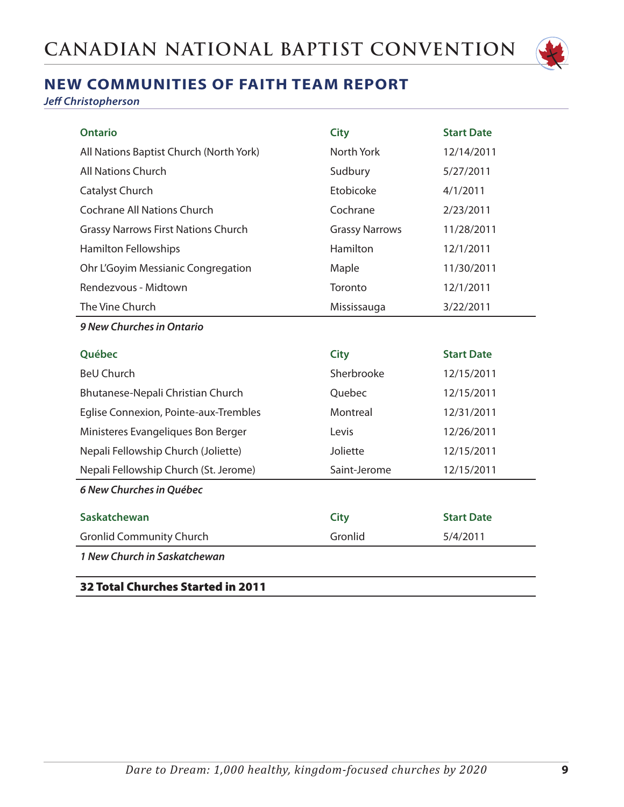

## **NEW COMMUNITIES OF FAITH TEAM REPORT**

*Jeff Christopherson*

| <b>Ontario</b>                             | <b>City</b>           | <b>Start Date</b> |
|--------------------------------------------|-----------------------|-------------------|
| All Nations Baptist Church (North York)    | North York            | 12/14/2011        |
| All Nations Church                         | Sudbury               | 5/27/2011         |
| Catalyst Church                            | Etobicoke             | 4/1/2011          |
| <b>Cochrane All Nations Church</b>         | Cochrane              | 2/23/2011         |
| <b>Grassy Narrows First Nations Church</b> | <b>Grassy Narrows</b> | 11/28/2011        |
| <b>Hamilton Fellowships</b>                | <b>Hamilton</b>       | 12/1/2011         |
| Ohr L'Goyim Messianic Congregation         | Maple                 | 11/30/2011        |
| Rendezvous - Midtown                       | Toronto               | 12/1/2011         |
| The Vine Church                            | Mississauga           | 3/22/2011         |
| 9 New Churches in Ontario                  |                       |                   |
| Québec                                     | <b>City</b>           | <b>Start Date</b> |
| <b>BeU Church</b>                          | Sherbrooke            | 12/15/2011        |
| Bhutanese-Nepali Christian Church          | Quebec                | 12/15/2011        |
| Eglise Connexion, Pointe-aux-Trembles      | Montreal              | 12/31/2011        |
| Ministeres Evangeliques Bon Berger         | Levis                 | 12/26/2011        |
| Nepali Fellowship Church (Joliette)        | Joliette              | 12/15/2011        |
| Nepali Fellowship Church (St. Jerome)      | Saint-Jerome          | 12/15/2011        |
| 6 New Churches in Québec                   |                       |                   |
| <b>Saskatchewan</b>                        | <b>City</b>           | <b>Start Date</b> |
| <b>Gronlid Community Church</b>            | Gronlid               | 5/4/2011          |
| 1 New Church in Saskatchewan               |                       |                   |
| <b>32 Total Churches Started in 2011</b>   |                       |                   |